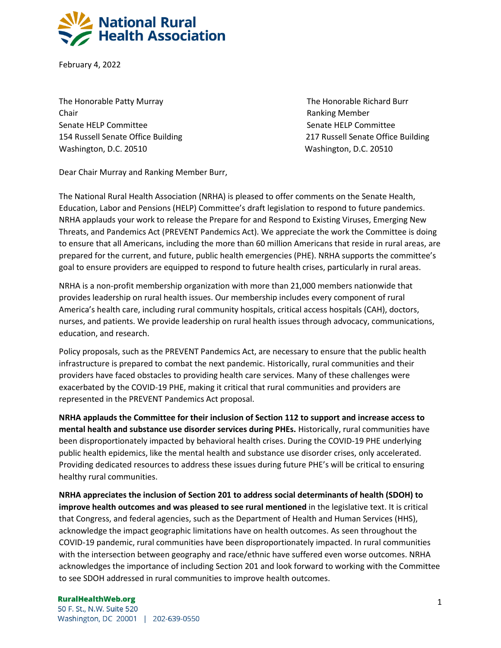

February 4, 2022

The Honorable Patty Murray The Honorable Richard Burr Chair Ranking Member Senate HELP Committee Senate HELP Committee Senate HELP Committee Washington, D.C. 20510 Washington, D.C. 20510

154 Russell Senate Office Building 217 Russell Senate Office Building

Dear Chair Murray and Ranking Member Burr,

The National Rural Health Association (NRHA) is pleased to offer comments on the Senate Health, Education, Labor and Pensions (HELP) Committee's draft legislation to respond to future pandemics. NRHA applauds your work to release the Prepare for and Respond to Existing Viruses, Emerging New Threats, and Pandemics Act (PREVENT Pandemics Act). We appreciate the work the Committee is doing to ensure that all Americans, including the more than 60 million Americans that reside in rural areas, are prepared for the current, and future, public health emergencies (PHE). NRHA supports the committee's goal to ensure providers are equipped to respond to future health crises, particularly in rural areas.

NRHA is a non-profit membership organization with more than 21,000 members nationwide that provides leadership on rural health issues. Our membership includes every component of rural America's health care, including rural community hospitals, critical access hospitals (CAH), doctors, nurses, and patients. We provide leadership on rural health issues through advocacy, communications, education, and research.

Policy proposals, such as the PREVENT Pandemics Act, are necessary to ensure that the public health infrastructure is prepared to combat the next pandemic. Historically, rural communities and their providers have faced obstacles to providing health care services. Many of these challenges were exacerbated by the COVID-19 PHE, making it critical that rural communities and providers are represented in the PREVENT Pandemics Act proposal.

**NRHA applauds the Committee for their inclusion of Section 112 to support and increase access to mental health and substance use disorder services during PHEs.** Historically, rural communities have been disproportionately impacted by behavioral health crises. During the COVID-19 PHE underlying public health epidemics, like the mental health and substance use disorder crises, only accelerated. Providing dedicated resources to address these issues during future PHE's will be critical to ensuring healthy rural communities.

**NRHA appreciates the inclusion of Section 201 to address social determinants of health (SDOH) to improve health outcomes and was pleased to see rural mentioned** in the legislative text. It is critical that Congress, and federal agencies, such as the Department of Health and Human Services (HHS), acknowledge the impact geographic limitations have on health outcomes. As seen throughout the COVID-19 pandemic, rural communities have been disproportionately impacted. In rural communities with the intersection between geography and race/ethnic have suffered even worse outcomes. NRHA acknowledges the importance of including Section 201 and look forward to working with the Committee to see SDOH addressed in rural communities to improve health outcomes.

#### **RuralHealthWeb.org**

50 F. St., N.W. Suite 520 Washington, DC 20001 | 202-639-0550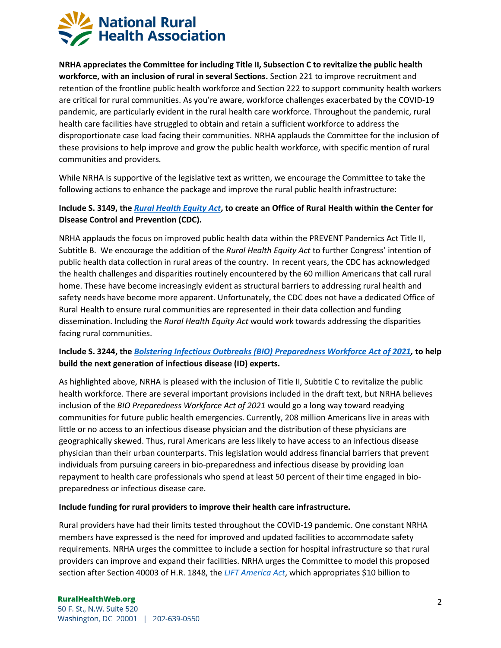

**NRHA appreciates the Committee for including Title II, Subsection C to revitalize the public health workforce, with an inclusion of rural in several Sections.** Section 221 to improve recruitment and retention of the frontline public health workforce and Section 222 to support community health workers are critical for rural communities. As you're aware, workforce challenges exacerbated by the COVID-19 pandemic, are particularly evident in the rural health care workforce. Throughout the pandemic, rural health care facilities have struggled to obtain and retain a sufficient workforce to address the disproportionate case load facing their communities. NRHA applauds the Committee for the inclusion of these provisions to help improve and grow the public health workforce, with specific mention of rural communities and providers.

While NRHA is supportive of the legislative text as written, we encourage the Committee to take the following actions to enhance the package and improve the rural public health infrastructure:

### **Include S. 3149, the** *[Rural Health Equity Act](https://www.congress.gov/bill/117th-congress/senate-bill/3149)***, to create an Office of Rural Health within the Center for Disease Control and Prevention (CDC).**

NRHA applauds the focus on improved public health data within the PREVENT Pandemics Act Title II, Subtitle B. We encourage the addition of the *Rural Health Equity Act* to further Congress' intention of public health data collection in rural areas of the country. In recent years, the CDC has acknowledged the health challenges and disparities routinely encountered by the 60 million Americans that call rural home. These have become increasingly evident as structural barriers to addressing rural health and safety needs have become more apparent. Unfortunately, the CDC does not have a dedicated Office of Rural Health to ensure rural communities are represented in their data collection and funding dissemination. Including the *Rural Health Equity Act* would work towards addressing the disparities facing rural communities.

# **Include S. 3244, the** *[Bolstering Infectious Outbreaks \(BIO\)](https://www.congress.gov/bill/117th-congress/senate-bill/3244/text) Preparedness Workforce Act of 2021,* **to help build the next generation of infectious disease (ID) experts.**

As highlighted above, NRHA is pleased with the inclusion of Title II, Subtitle C to revitalize the public health workforce. There are several important provisions included in the draft text, but NRHA believes inclusion of the *BIO Preparedness Workforce Act of 2021* would go a long way toward readying communities for future public health emergencies. Currently, 208 million Americans live in areas with little or no access to an infectious disease physician and the distribution of these physicians are geographically skewed. Thus, rural Americans are less likely to have access to an infectious disease physician than their urban counterparts. This legislation would address financial barriers that prevent individuals from pursuing careers in bio-preparedness and infectious disease by providing loan repayment to health care professionals who spend at least 50 percent of their time engaged in biopreparedness or infectious disease care.

#### **Include funding for rural providers to improve their health care infrastructure.**

Rural providers have had their limits tested throughout the COVID-19 pandemic. One constant NRHA members have expressed is the need for improved and updated facilities to accommodate safety requirements. NRHA urges the committee to include a section for hospital infrastructure so that rural providers can improve and expand their facilities. NRHA urges the Committee to model this proposed section after Section 40003 of H.R. 1848, the *[LIFT America Act](https://www.congress.gov/bill/117th-congress/house-bill/1848)*, which appropriates \$10 billion to